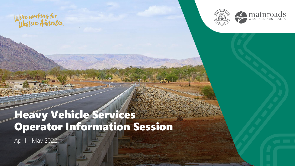We're working for<br>Western Australia.





## Heavy Vehicle Services Operator Information Session

April - May 2022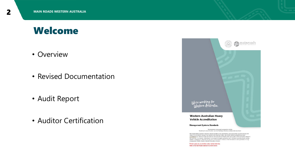### Welcome

- Overview
- Revised Documentation
- Audit Report
- Auditor Certification



Printed copies are uncontrolled unless marked otherwise. Refer to the Main Roads website for current version.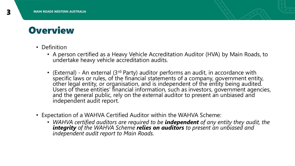

- Definition
	- A person certified as a Heavy Vehicle Accreditation Auditor (HVA) by Main Roads, to undertake heavy vehicle accreditation audits.
	- (External) An external (3<sup>rd</sup> Party) auditor performs an audit, in accordance with specific laws or rules, of the financial statements of a company, government entity, other legal entity, or organisation, and is independent of the entity being audited. Users of these entities' financial information, such as investors, government agencies, and the general public, rely on the external auditor to present an unbiased and independent audit report.
- Expectation of a WAHVA Certified Auditor within the WAHVA Scheme:
	- *WAHVA certified auditors are required to be independent of any entity they audit, the integrity of the WAHVA Scheme relies on auditors to present an unbiased and independent audit report to Main Roads.*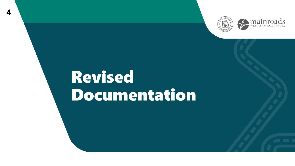



## Revised Documentation

 $\boldsymbol{A}$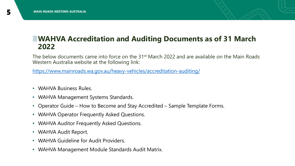### **WAHVA Accreditation and Auditing Documents as of 31 March 2022**

The below documents came into force on the 31<sup>st</sup> March 2022 and are available on the Main Roads Western Australia website at the following link:

<https://www.mainroads.wa.gov.au/heavy-vehicles/accreditation-auditing/>

- WAHVA Business Rules.
- WAHVA Management Systems Standards.
- Operator Guide How to Become and Stay Accredited Sample Template Forms.
- WAHVA Operator Frequently Asked Questions.
- WAHVA Auditor Frequently Asked Questions.
- WAHVA Audit Report.
- WAHVA Guideline for Audit Providers.
- WAHVA Management Module Standards Audit Matrix.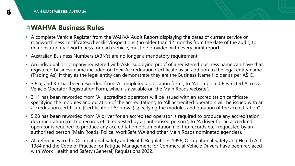#### **WAHVA Business Rules**

- A complete Vehicle Register from the WAHVA Audit Report displaying the dates of current service or roadworthiness certificates/checklist/inspections (no older than 12 months from the date of the audit) to demonstrate roadworthiness for each vehicle, must be provided with every audit report.
- Australian Business Numbers (ABN's) are no longer a mandatory requirement.
- An individual or company registered with ASIC supplying proof of a registered business name can have that registered business name included on their Accreditation Certificate as an addition to the legal entity name (Trading As), if they as the legal entity can demonstrate they are the Business Name Holder as per ASIC.
- 3.6 a) and 3.7 has been reworded from "A completed application form", to "A completed Restricted Access Vehicle Operator Registration Form, which is available on the Main Roads website".
- 3.11 has been reworded from "All accredited operators will be issued with an accreditation certificate specifying the modules and duration of the accreditation", to "All accredited operators will be issued with an accreditation certificate (Certificate of Approval) specifying the modules and duration of the accreditation"
- 5.28 has been reworded from "A driver for an accredited operator is required to produce any accreditation documentation (i.e. trip records etc.) requested by an authorised person.", to "A driver for an accredited operator is required to produce any accreditation documentation (i.e. trip records etc.) requested by an authorised person (Main Roads, Police, WorkSafe WA and other Main Roads nominated agencies).
- All references to the Occupational Safety and Health Regulations 1996, Occupational Safety and Health Act 1984 and the Code of Practice for Fatigue Management for Commercial Vehicle Drivers have been replaced with Work Health and Safety (General) Regulations 2022.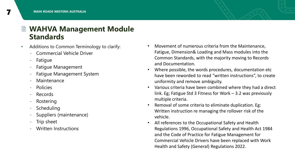### **WAHVA Management Module Standards**

- Additions to Common Terminology to clarify:
	- Commercial Vehicle Driver
	- Fatigue
	- Fatigue Management
	- Fatigue Management System
	- Maintenance
	- Policies
	- Records
	- Rostering
	- Scheduling
	- Suppliers (maintenance)
	- Trip sheet
	- Written Instructions
- Movement of numerous criteria from the Maintenance, Fatigue, Dimension& Loading and Mass modules into the Common Standards, with the majority moving to Records and Documentation.
- Where possible, the words procedures, documentation etc have been reworded to read "written instructions", to create uniformity and remove ambiguity.
- Various criteria have been combined where they had a direct link. Eg; Fatigue Std 3 Fitness for Work – 3.2 was previously multiple criteria.
- Removal of some criteria to eliminate duplication. Eg: Written instruction re managing the rollover risk of the vehicle.
- All references to the Occupational Safety and Health Regulations 1996, Occupational Safety and Health Act 1984 and the Code of Practice for Fatigue Management for Commercial Vehicle Drivers have been replaced with Work Health and Safety (General) Regulations 2022.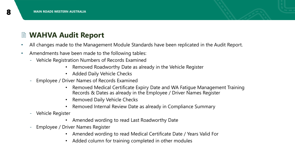

### **WAHVA Audit Report**

- All changes made to the Management Module Standards have been replicated in the Audit Report.
- Amendments have been made to the following tables:
	- Vehicle Registration Numbers of Records Examined
		- Removed Roadworthy Date as already in the Vehicle Register
		- Added Daily Vehicle Checks
	- Employee / Driver Names of Records Examined
		- Removed Medical Certificate Expiry Date and WA Fatigue Management Training Records & Dates as already in the Employee / Driver Names Register
		- Removed Daily Vehicle Checks
		- Removed Internal Review Date as already in Compliance Summary
	- Vehicle Register
		- Amended wording to read Last Roadworthy Date
	- Employee / Driver Names Register
		- Amended wording to read Medical Certificate Date / Years Valid For
		- Added column for training completed in other modules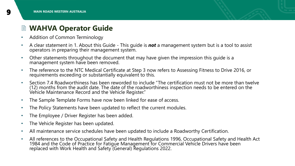### **WAHVA Operator Guide**

- Addition of Common Terminology
- A clear statement in 1. About this Guide This guide is *not* a management system but is a tool to assist operators in preparing their management system.
- Other statements throughout the document that may have given the impression this guide is a management system have been removed.
- The reference to the NTC Medical Certificate at Step 3 now refers to Assessing Fitness to Drive 2016, or requirements exceeding or substantially equivalent to this.
- Section 7.4 Roadworthiness has been reworded to include "The certification must not be more than twelve (12) months from the audit date. The date of the roadworthiness inspection needs to be entered on the Vehicle Maintenance Record and the Vehicle Register."
- The Sample Template Forms have now been linked for ease of access.
- The Policy Statements have been updated to reflect the current modules.
- The Employee / Driver Register has been added.
- The Vehicle Register has been updated.
- All maintenance service schedules have been updated to include a Roadworthy Certification.
- All references to the Occupational Safety and Health Regulations 1996, Occupational Safety and Health Act 1984 and the Code of Practice for Fatigue Management for Commercial Vehicle Drivers have been replaced with Work Health and Safety (General) Regulations 2022.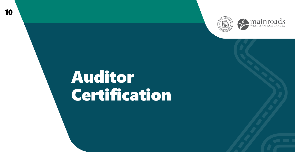



## Auditor Certification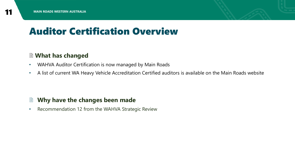

### Auditor Certification Overview

#### **What has changed**

- WAHVA Auditor Certification is now managed by Main Roads
- A list of current WA Heavy Vehicle Accreditation Certified auditors is available on the Main Roads website

#### **Why have the changes been made**

• Recommendation 12 from the WAHVA Strategic Review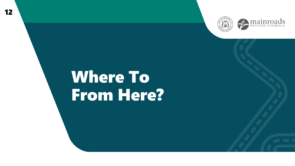



## Where To From Here?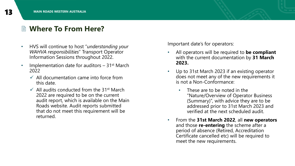### **Where To From Here?**

- HVS will continue to host "*understanding your WAHVA responsibilities*" Transport Operator Information Sessions throughout 2022.
- Implementation date for auditors  $-31$ <sup>st</sup> March 2022
	- $\checkmark$  All documentation came into force from this date.
	- $\checkmark$  All audits conducted from the 31<sup>st</sup> March 2022 are required to be on the current audit report, which is available on the Main Roads website. Audit reports submitted that do not meet this requirement will be returned.

Important date's for operators:

- All operators will be required to **be compliant**  with the current documentation by **31 March 2023.**
- Up to 31st March 2023 if an existing operator does not meet any of the new requirements it is not a Non-Conformance:
	- These are to be noted in the "Nature/Overview of Operator Business (Summary)", with advice they are to be addressed prior to 31st March 2023 and verified at the next scheduled audit.
- From the **31st March 2022**, all **new operators**  and those **re-entering** the scheme after a period of absence (Retired, Accreditation Certificate cancelled etc) will be required to meet the new requirements.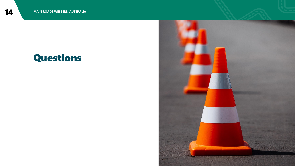### Questions